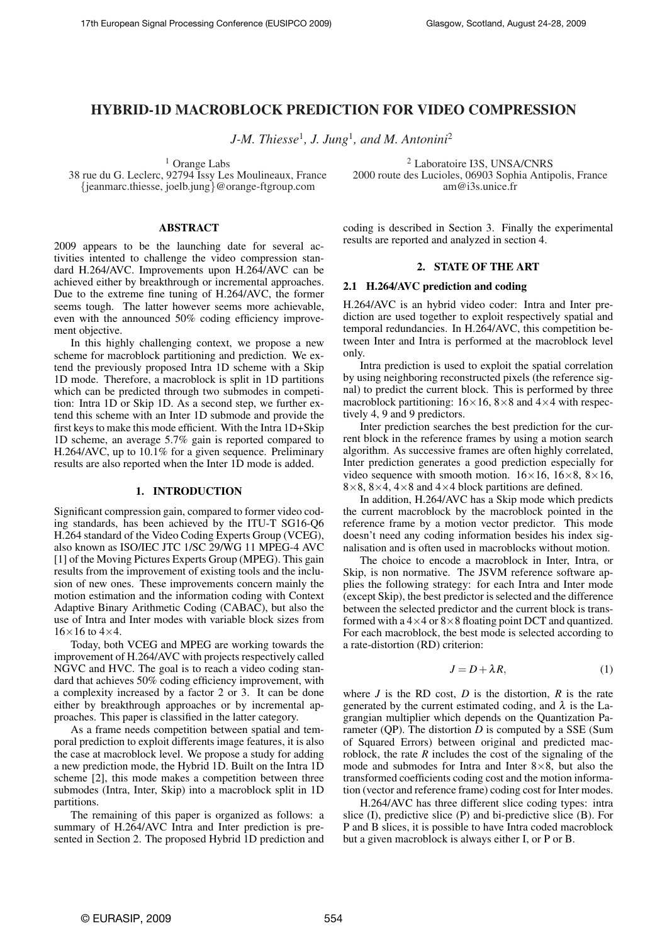# HYBRID-1D MACROBLOCK PREDICTION FOR VIDEO COMPRESSION

*J-M. Thiesse*<sup>1</sup> *, J. Jung*<sup>1</sup> *, and M. Antonini*<sup>2</sup>

 $<sup>1</sup>$  Orange Labs</sup>

38 rue du G. Leclerc, 92794 Issy Les Moulineaux, France {jeanmarc.thiesse, joelb.jung}@orange-ftgroup.com

# ABSTRACT

2009 appears to be the launching date for several activities intented to challenge the video compression standard H.264/AVC. Improvements upon H.264/AVC can be achieved either by breakthrough or incremental approaches. Due to the extreme fine tuning of H.264/AVC, the former seems tough. The latter however seems more achievable, even with the announced 50% coding efficiency improvement objective.

In this highly challenging context, we propose a new scheme for macroblock partitioning and prediction. We extend the previously proposed Intra 1D scheme with a Skip 1D mode. Therefore, a macroblock is split in 1D partitions which can be predicted through two submodes in competition: Intra 1D or Skip 1D. As a second step, we further extend this scheme with an Inter 1D submode and provide the first keys to make this mode efficient. With the Intra 1D+Skip 1D scheme, an average 5.7% gain is reported compared to H.264/AVC, up to 10.1% for a given sequence. Preliminary results are also reported when the Inter 1D mode is added.

# 1. INTRODUCTION

Significant compression gain, compared to former video coding standards, has been achieved by the ITU-T SG16-Q6 H.264 standard of the Video Coding Experts Group (VCEG), also known as ISO/IEC JTC 1/SC 29/WG 11 MPEG-4 AVC [1] of the Moving Pictures Experts Group (MPEG). This gain results from the improvement of existing tools and the inclusion of new ones. These improvements concern mainly the motion estimation and the information coding with Context Adaptive Binary Arithmetic Coding (CABAC), but also the use of Intra and Inter modes with variable block sizes from  $16\times16$  to  $4\times4$ .

Today, both VCEG and MPEG are working towards the improvement of H.264/AVC with projects respectively called NGVC and HVC. The goal is to reach a video coding standard that achieves 50% coding efficiency improvement, with a complexity increased by a factor 2 or 3. It can be done either by breakthrough approaches or by incremental approaches. This paper is classified in the latter category.

As a frame needs competition between spatial and temporal prediction to exploit differents image features, it is also the case at macroblock level. We propose a study for adding a new prediction mode, the Hybrid 1D. Built on the Intra 1D scheme [2], this mode makes a competition between three submodes (Intra, Inter, Skip) into a macroblock split in 1D partitions.

The remaining of this paper is organized as follows: a summary of H.264/AVC Intra and Inter prediction is presented in Section 2. The proposed Hybrid 1D prediction and

<sup>2</sup> Laboratoire I3S, UNSA/CNRS 2000 route des Lucioles, 06903 Sophia Antipolis, France am@i3s.unice.fr

coding is described in Section 3. Finally the experimental results are reported and analyzed in section 4.

# 2. STATE OF THE ART

## 2.1 H.264/AVC prediction and coding

H.264/AVC is an hybrid video coder: Intra and Inter prediction are used together to exploit respectively spatial and temporal redundancies. In H.264/AVC, this competition between Inter and Intra is performed at the macroblock level only.

Intra prediction is used to exploit the spatial correlation by using neighboring reconstructed pixels (the reference signal) to predict the current block. This is performed by three macroblock partitioning:  $16 \times 16$ ,  $8 \times 8$  and  $4 \times 4$  with respectively 4, 9 and 9 predictors.

Inter prediction searches the best prediction for the current block in the reference frames by using a motion search algorithm. As successive frames are often highly correlated, Inter prediction generates a good prediction especially for video sequence with smooth motion.  $16\times16$ ,  $16\times8$ ,  $8\times16$ ,  $8\times8$ ,  $8\times4$ ,  $4\times8$  and  $4\times4$  block partitions are defined.

In addition, H.264/AVC has a Skip mode which predicts the current macroblock by the macroblock pointed in the reference frame by a motion vector predictor. This mode doesn't need any coding information besides his index signalisation and is often used in macroblocks without motion.

The choice to encode a macroblock in Inter, Intra, or Skip, is non normative. The JSVM reference software applies the following strategy: for each Intra and Inter mode (except Skip), the best predictor is selected and the difference between the selected predictor and the current block is transformed with a  $4\times4$  or  $8\times8$  floating point DCT and quantized. For each macroblock, the best mode is selected according to a rate-distortion (RD) criterion:

$$
J = D + \lambda R, \tag{1}
$$

where  $J$  is the RD cost,  $D$  is the distortion,  $R$  is the rate generated by the current estimated coding, and  $\lambda$  is the Lagrangian multiplier which depends on the Quantization Parameter (QP). The distortion *D* is computed by a SSE (Sum of Squared Errors) between original and predicted macroblock, the rate *R* includes the cost of the signaling of the mode and submodes for Intra and Inter  $8 \times 8$ , but also the transformed coefficients coding cost and the motion information (vector and reference frame) coding cost for Inter modes.

H.264/AVC has three different slice coding types: intra slice (I), predictive slice (P) and bi-predictive slice (B). For P and B slices, it is possible to have Intra coded macroblock but a given macroblock is always either I, or P or B.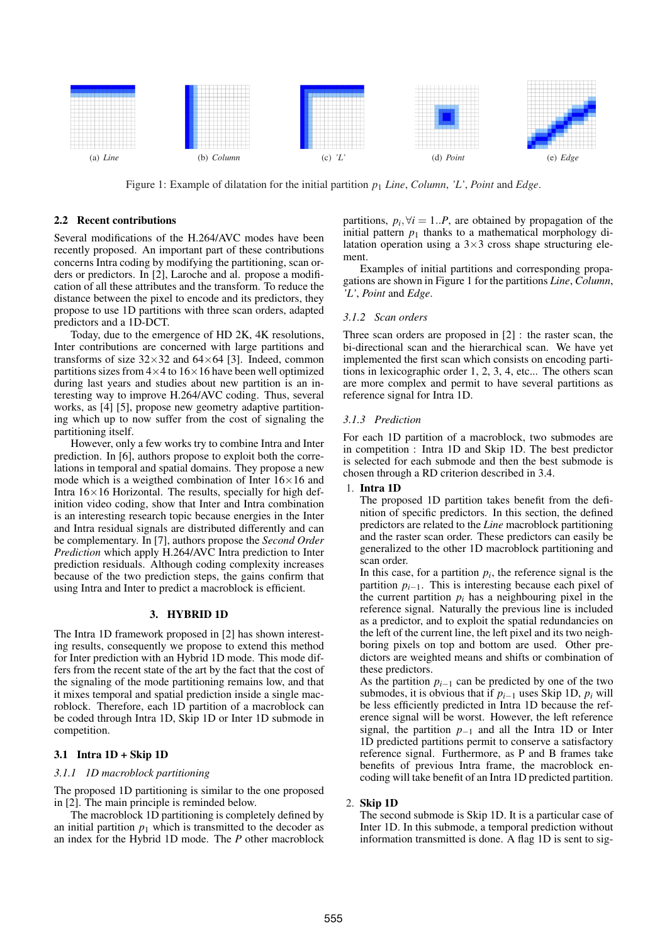

Figure 1: Example of dilatation for the initial partition *p*<sup>1</sup> *Line*, *Column*, *'L'*, *Point* and *Edge*.

## 2.2 Recent contributions

Several modifications of the H.264/AVC modes have been recently proposed. An important part of these contributions concerns Intra coding by modifying the partitioning, scan orders or predictors. In [2], Laroche and al. propose a modification of all these attributes and the transform. To reduce the distance between the pixel to encode and its predictors, they propose to use 1D partitions with three scan orders, adapted predictors and a 1D-DCT.

Today, due to the emergence of HD 2K, 4K resolutions, Inter contributions are concerned with large partitions and transforms of size  $32\times32$  and  $64\times64$  [3]. Indeed, common partitions sizes from  $4\times4$  to  $16\times16$  have been well optimized during last years and studies about new partition is an interesting way to improve H.264/AVC coding. Thus, several works, as [4] [5], propose new geometry adaptive partitioning which up to now suffer from the cost of signaling the partitioning itself.

However, only a few works try to combine Intra and Inter prediction. In [6], authors propose to exploit both the correlations in temporal and spatial domains. They propose a new mode which is a weigthed combination of Inter  $16\times16$  and Intra  $16\times16$  Horizontal. The results, specially for high definition video coding, show that Inter and Intra combination is an interesting research topic because energies in the Inter and Intra residual signals are distributed differently and can be complementary. In [7], authors propose the *Second Order Prediction* which apply H.264/AVC Intra prediction to Inter prediction residuals. Although coding complexity increases because of the two prediction steps, the gains confirm that using Intra and Inter to predict a macroblock is efficient.

### 3. HYBRID 1D

The Intra 1D framework proposed in [2] has shown interesting results, consequently we propose to extend this method for Inter prediction with an Hybrid 1D mode. This mode differs from the recent state of the art by the fact that the cost of the signaling of the mode partitioning remains low, and that it mixes temporal and spatial prediction inside a single macroblock. Therefore, each 1D partition of a macroblock can be coded through Intra 1D, Skip 1D or Inter 1D submode in competition.

## 3.1 Intra 1D + Skip 1D

## *3.1.1 1D macroblock partitioning*

The proposed 1D partitioning is similar to the one proposed in [2]. The main principle is reminded below.

The macroblock 1D partitioning is completely defined by an initial partition  $p_1$  which is transmitted to the decoder as an index for the Hybrid 1D mode. The *P* other macroblock

partitions,  $p_i$ ,  $\forall i = 1..P$ , are obtained by propagation of the initial pattern  $p_1$  thanks to a mathematical morphology dilatation operation using a  $3\times3$  cross shape structuring element.

Examples of initial partitions and corresponding propagations are shown in Figure 1 for the partitions *Line*, *Column*, *'L'*, *Point* and *Edge*.

## *3.1.2 Scan orders*

Three scan orders are proposed in [2] : the raster scan, the bi-directional scan and the hierarchical scan. We have yet implemented the first scan which consists on encoding partitions in lexicographic order 1, 2, 3, 4, etc... The others scan are more complex and permit to have several partitions as reference signal for Intra 1D.

### *3.1.3 Prediction*

For each 1D partition of a macroblock, two submodes are in competition : Intra 1D and Skip 1D. The best predictor is selected for each submode and then the best submode is chosen through a RD criterion described in 3.4.

1. Intra 1D

The proposed 1D partition takes benefit from the definition of specific predictors. In this section, the defined predictors are related to the *Line* macroblock partitioning and the raster scan order. These predictors can easily be generalized to the other 1D macroblock partitioning and scan order.

In this case, for a partition  $p_i$ , the reference signal is the partition  $p_{i-1}$ . This is interesting because each pixel of the current partition  $p_i$  has a neighbouring pixel in the reference signal. Naturally the previous line is included as a predictor, and to exploit the spatial redundancies on the left of the current line, the left pixel and its two neighboring pixels on top and bottom are used. Other predictors are weighted means and shifts or combination of these predictors.

As the partition  $p_{i-1}$  can be predicted by one of the two submodes, it is obvious that if  $p_{i-1}$  uses Skip 1D,  $p_i$  will be less efficiently predicted in Intra 1D because the reference signal will be worst. However, the left reference signal, the partition  $p_{-1}$  and all the Intra 1D or Inter 1D predicted partitions permit to conserve a satisfactory reference signal. Furthermore, as P and B frames take benefits of previous Intra frame, the macroblock encoding will take benefit of an Intra 1D predicted partition.

### 2. Skip 1D

The second submode is Skip 1D. It is a particular case of Inter 1D. In this submode, a temporal prediction without information transmitted is done. A flag 1D is sent to sig-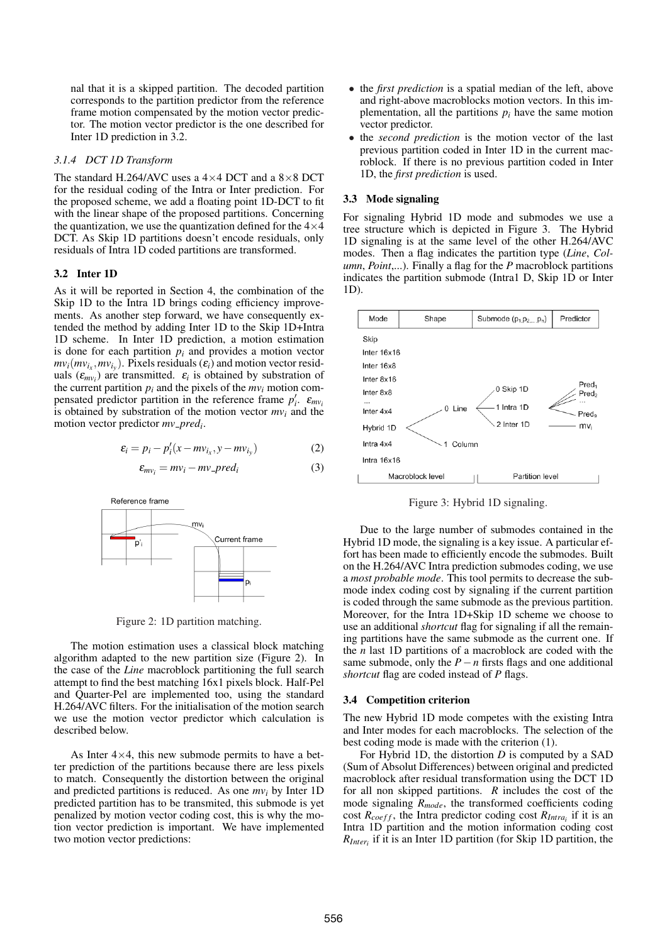nal that it is a skipped partition. The decoded partition corresponds to the partition predictor from the reference frame motion compensated by the motion vector predictor. The motion vector predictor is the one described for Inter 1D prediction in 3.2.

## *3.1.4 DCT 1D Transform*

The standard H.264/AVC uses a  $4\times4$  DCT and a  $8\times8$  DCT for the residual coding of the Intra or Inter prediction. For the proposed scheme, we add a floating point 1D-DCT to fit with the linear shape of the proposed partitions. Concerning the quantization, we use the quantization defined for the  $4\times4$ DCT. As Skip 1D partitions doesn't encode residuals, only residuals of Intra 1D coded partitions are transformed.

## 3.2 Inter 1D

As it will be reported in Section 4, the combination of the Skip 1D to the Intra 1D brings coding efficiency improvements. As another step forward, we have consequently extended the method by adding Inter 1D to the Skip 1D+Intra 1D scheme. In Inter 1D prediction, a motion estimation is done for each partition  $p_i$  and provides a motion vector  $mv_i(mv_{i_x}, mv_{i_y})$ . Pixels residuals  $(\varepsilon_i)$  and motion vector residuals  $(\varepsilon_{mv_i})$  are transmitted.  $\varepsilon_i$  is obtained by substration of the current partition  $p_i$  and the pixels of the  $mv_i$  motion compensated predictor partition in the reference frame  $p'_i$ .  $\varepsilon_{mv_i}$ is obtained by substration of the motion vector *mv<sup>i</sup>* and the motion vector predictor *mv pred<sup>i</sup>* .

$$
\varepsilon_i = p_i - p_i'(x - mv_{i_x}, y - mv_{i_y})
$$
 (2)

$$
\varepsilon_{mv_i} = mv_i - mv\_{pred_i} \tag{3}
$$



Figure 2: 1D partition matching.

The motion estimation uses a classical block matching algorithm adapted to the new partition size (Figure 2). In the case of the *Line* macroblock partitioning the full search attempt to find the best matching 16x1 pixels block. Half-Pel and Quarter-Pel are implemented too, using the standard H.264/AVC filters. For the initialisation of the motion search we use the motion vector predictor which calculation is described below.

As Inter  $4\times4$ , this new submode permits to have a better prediction of the partitions because there are less pixels to match. Consequently the distortion between the original and predicted partitions is reduced. As one *mv<sup>i</sup>* by Inter 1D predicted partition has to be transmited, this submode is yet penalized by motion vector coding cost, this is why the motion vector prediction is important. We have implemented two motion vector predictions:

- the *first prediction* is a spatial median of the left, above and right-above macroblocks motion vectors. In this implementation, all the partitions  $p_i$  have the same motion vector predictor.
- the *second prediction* is the motion vector of the last previous partition coded in Inter 1D in the current macroblock. If there is no previous partition coded in Inter 1D, the *first prediction* is used.

#### 3.3 Mode signaling

For signaling Hybrid 1D mode and submodes we use a tree structure which is depicted in Figure 3. The Hybrid 1D signaling is at the same level of the other H.264/AVC modes. Then a flag indicates the partition type (*Line*, *Column*, *Point*,...). Finally a flag for the *P* macroblock partitions indicates the partition submode (Intra1 D, Skip 1D or Inter 1D).



Figure 3: Hybrid 1D signaling.

Due to the large number of submodes contained in the Hybrid 1D mode, the signaling is a key issue. A particular effort has been made to efficiently encode the submodes. Built on the H.264/AVC Intra prediction submodes coding, we use a *most probable mode*. This tool permits to decrease the submode index coding cost by signaling if the current partition is coded through the same submode as the previous partition. Moreover, for the Intra 1D+Skip 1D scheme we choose to use an additional *shortcut* flag for signaling if all the remaining partitions have the same submode as the current one. If the *n* last 1D partitions of a macroblock are coded with the same submode, only the *P*−*n* firsts flags and one additional *shortcut* flag are coded instead of *P* flags.

#### 3.4 Competition criterion

The new Hybrid 1D mode competes with the existing Intra and Inter modes for each macroblocks. The selection of the best coding mode is made with the criterion (1).

For Hybrid 1D, the distortion *D* is computed by a SAD (Sum of Absolut Differences) between original and predicted macroblock after residual transformation using the DCT 1D for all non skipped partitions. *R* includes the cost of the mode signaling *Rmode*, the transformed coefficients coding cost  $R_{coeff}$ , the Intra predictor coding cost  $R_{Intra_i}$  if it is an Intra 1D partition and the motion information coding cost *RInter<sup>i</sup>* if it is an Inter 1D partition (for Skip 1D partition, the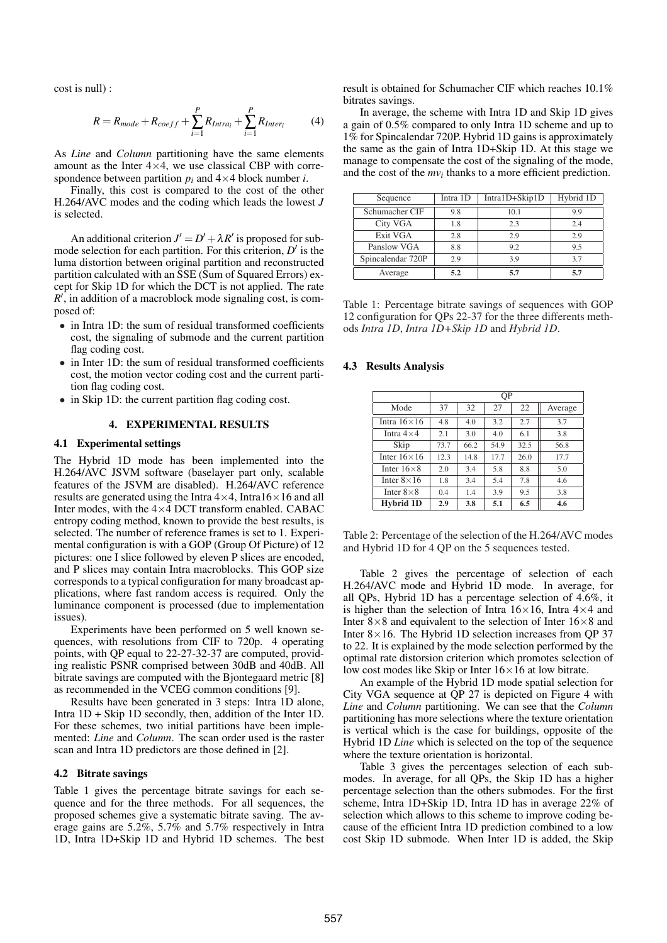cost is null) :

$$
R = R_{mode} + R_{coeff} + \sum_{i=1}^{P} R_{Intra_i} + \sum_{i=1}^{P} R_{Inter_i}
$$
 (4)

As *Line* and *Column* partitioning have the same elements amount as the Inter  $4 \times 4$ , we use classical CBP with correspondence between partition  $p_i$  and  $4 \times 4$  block number *i*.

Finally, this cost is compared to the cost of the other H.264/AVC modes and the coding which leads the lowest *J* is selected.

An additional criterion  $J' = D' + \lambda R'$  is proposed for submode selection for each partition. For this criterion,  $D'$  is the luma distortion between original partition and reconstructed partition calculated with an SSE (Sum of Squared Errors) except for Skip 1D for which the DCT is not applied. The rate  $R'$ , in addition of a macroblock mode signaling cost, is composed of:

- in Intra 1D: the sum of residual transformed coefficients cost, the signaling of submode and the current partition flag coding cost.
- in Inter 1D: the sum of residual transformed coefficients cost, the motion vector coding cost and the current partition flag coding cost.
- in Skip 1D: the current partition flag coding cost.

# 4. EXPERIMENTAL RESULTS

#### 4.1 Experimental settings

The Hybrid 1D mode has been implemented into the H.264/AVC JSVM software (baselayer part only, scalable features of the JSVM are disabled). H.264/AVC reference results are generated using the Intra  $4 \times 4$ , Intra  $16 \times 16$  and all Inter modes, with the  $4\times4$  DCT transform enabled. CABAC entropy coding method, known to provide the best results, is selected. The number of reference frames is set to 1. Experimental configuration is with a GOP (Group Of Picture) of 12 pictures: one I slice followed by eleven P slices are encoded, and P slices may contain Intra macroblocks. This GOP size corresponds to a typical configuration for many broadcast applications, where fast random access is required. Only the luminance component is processed (due to implementation issues).

Experiments have been performed on 5 well known sequences, with resolutions from CIF to 720p. 4 operating points, with QP equal to 22-27-32-37 are computed, providing realistic PSNR comprised between 30dB and 40dB. All bitrate savings are computed with the Bjontegaard metric [8] as recommended in the VCEG common conditions [9].

Results have been generated in 3 steps: Intra 1D alone, Intra 1D + Skip 1D secondly, then, addition of the Inter 1D. For these schemes, two initial partitions have been implemented: *Line* and *Column*. The scan order used is the raster scan and Intra 1D predictors are those defined in [2].

#### 4.2 Bitrate savings

Table 1 gives the percentage bitrate savings for each sequence and for the three methods. For all sequences, the proposed schemes give a systematic bitrate saving. The average gains are 5.2%, 5.7% and 5.7% respectively in Intra 1D, Intra 1D+Skip 1D and Hybrid 1D schemes. The best result is obtained for Schumacher CIF which reaches 10.1% bitrates savings.

In average, the scheme with Intra 1D and Skip 1D gives a gain of 0.5% compared to only Intra 1D scheme and up to 1% for Spincalendar 720P. Hybrid 1D gains is approximately the same as the gain of Intra 1D+Skip 1D. At this stage we manage to compensate the cost of the signaling of the mode, and the cost of the  $mv_i$  thanks to a more efficient prediction.

| Sequence          | Intra 1D | Intra1D+Skip1D | Hybrid 1D |
|-------------------|----------|----------------|-----------|
| Schumacher CIF    | 9.8      | 10.1           | 9.9       |
| City VGA          | 1.8      | 2.3            | 2.4       |
| Exit VGA          | 2.8      | 2.9            | 2.9       |
| Panslow VGA       | 8.8      | 9.2            | 9.5       |
| Spincalendar 720P | 2.9      | 3.9            | 3.7       |
| Average           | 5.2      | 5.7            | 5.7       |

Table 1: Percentage bitrate savings of sequences with GOP 12 configuration for QPs 22-37 for the three differents methods *Intra 1D*, *Intra 1D+Skip 1D* and *Hybrid 1D*.

#### 4.3 Results Analysis

|                     | ΟP   |      |      |      |         |  |  |
|---------------------|------|------|------|------|---------|--|--|
| Mode                | 37   | 32   | 27   | 22   | Average |  |  |
| Intra $16\times16$  | 4.8  | 4.0  | 3.2  | 2.7  | 3.7     |  |  |
| Intra $4\times4$    | 2.1  | 3.0  | 4.0  | 6.1  | 3.8     |  |  |
| Skip                | 73.7 | 66.2 | 54.9 | 32.5 | 56.8    |  |  |
| Inter $16\times16$  | 12.3 | 14.8 | 17.7 | 26.0 | 17.7    |  |  |
| Inter $16\times8$   | 2.0  | 3.4  | 5.8  | 8.8  | 5.0     |  |  |
| Inter $8 \times 16$ | 1.8  | 3.4  | 5.4  | 7.8  | 4.6     |  |  |
| Inter $8\times8$    | 0.4  | 1.4  | 3.9  | 9.5  | 3.8     |  |  |
| Hybrid 1D           | 2.9  | 3.8  | 5.1  | 6.5  | 4.6     |  |  |

Table 2: Percentage of the selection of the H.264/AVC modes and Hybrid 1D for 4 QP on the 5 sequences tested.

Table 2 gives the percentage of selection of each H.264/AVC mode and Hybrid 1D mode. In average, for all QPs, Hybrid 1D has a percentage selection of 4.6%, it is higher than the selection of Intra  $16\times16$ , Intra  $4\times4$  and Inter  $8\times 8$  and equivalent to the selection of Inter  $16\times 8$  and Inter  $8 \times 16$ . The Hybrid 1D selection increases from QP 37 to 22. It is explained by the mode selection performed by the optimal rate distorsion criterion which promotes selection of low cost modes like Skip or Inter 16×16 at low bitrate.

An example of the Hybrid 1D mode spatial selection for City VGA sequence at QP 27 is depicted on Figure 4 with *Line* and *Column* partitioning. We can see that the *Column* partitioning has more selections where the texture orientation is vertical which is the case for buildings, opposite of the Hybrid 1D *Line* which is selected on the top of the sequence where the texture orientation is horizontal.

Table 3 gives the percentages selection of each submodes. In average, for all QPs, the Skip 1D has a higher percentage selection than the others submodes. For the first scheme, Intra 1D+Skip 1D, Intra 1D has in average 22% of selection which allows to this scheme to improve coding because of the efficient Intra 1D prediction combined to a low cost Skip 1D submode. When Inter 1D is added, the Skip